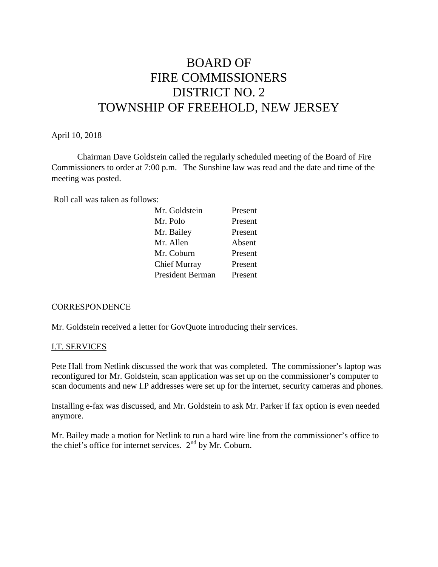# BOARD OF FIRE COMMISSIONERS DISTRICT NO. 2 TOWNSHIP OF FREEHOLD, NEW JERSEY

#### April 10, 2018

Chairman Dave Goldstein called the regularly scheduled meeting of the Board of Fire Commissioners to order at 7:00 p.m. The Sunshine law was read and the date and time of the meeting was posted.

Roll call was taken as follows:

| Mr. Goldstein    | Present |
|------------------|---------|
| Mr. Polo         | Present |
| Mr. Bailey       | Present |
| Mr. Allen        | Absent  |
| Mr. Coburn       | Present |
| Chief Murray     | Present |
| President Berman | Present |

#### **CORRESPONDENCE**

Mr. Goldstein received a letter for GovQuote introducing their services.

#### I.T. SERVICES

Pete Hall from Netlink discussed the work that was completed. The commissioner's laptop was reconfigured for Mr. Goldstein, scan application was set up on the commissioner's computer to scan documents and new I.P addresses were set up for the internet, security cameras and phones.

Installing e-fax was discussed, and Mr. Goldstein to ask Mr. Parker if fax option is even needed anymore.

Mr. Bailey made a motion for Netlink to run a hard wire line from the commissioner's office to the chief's office for internet services.  $2<sup>nd</sup>$  by Mr. Coburn.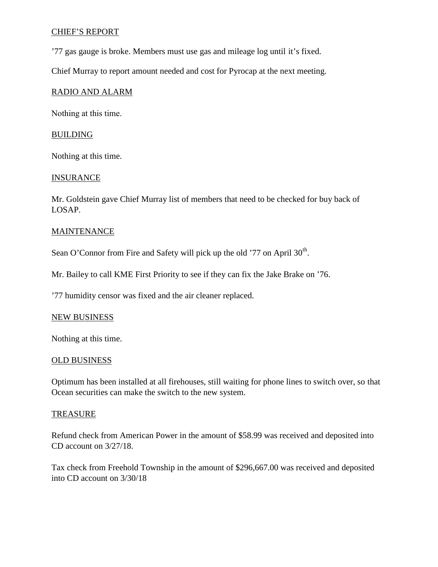# CHIEF'S REPORT

'77 gas gauge is broke. Members must use gas and mileage log until it's fixed.

Chief Murray to report amount needed and cost for Pyrocap at the next meeting.

## RADIO AND ALARM

Nothing at this time.

#### **BUILDING**

Nothing at this time.

#### **INSURANCE**

Mr. Goldstein gave Chief Murray list of members that need to be checked for buy back of LOSAP.

## **MAINTENANCE**

Sean O'Connor from Fire and Safety will pick up the old '77 on April 30<sup>th</sup>.

Mr. Bailey to call KME First Priority to see if they can fix the Jake Brake on '76.

'77 humidity censor was fixed and the air cleaner replaced.

#### NEW BUSINESS

Nothing at this time.

#### OLD BUSINESS

Optimum has been installed at all firehouses, still waiting for phone lines to switch over, so that Ocean securities can make the switch to the new system.

#### TREASURE

Refund check from American Power in the amount of \$58.99 was received and deposited into CD account on 3/27/18.

Tax check from Freehold Township in the amount of \$296,667.00 was received and deposited into CD account on 3/30/18